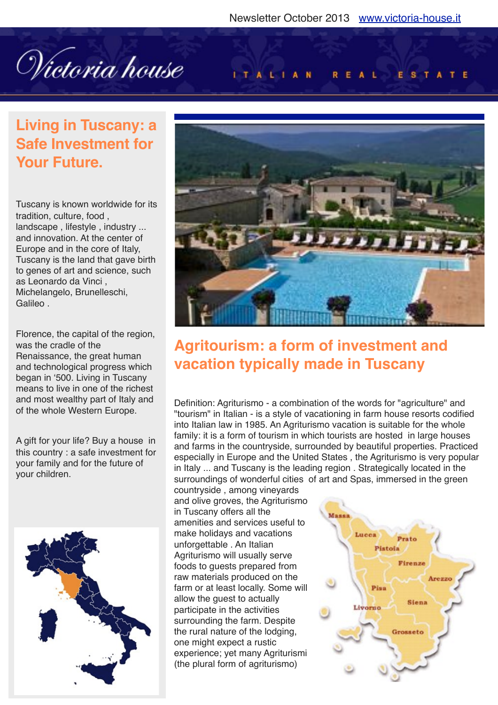Wictoria house

#### **ITALIAN** REAL ESTATE

## **Living in Tuscany: a Safe Investment for Your Future.**

Tuscany is known worldwide for its tradition, culture, food , landscape , lifestyle , industry ... and innovation. At the center of Europe and in the core of Italy, Tuscany is the land that gave birth to genes of art and science, such as Leonardo da Vinci , Michelangelo, Brunelleschi, **Galileo** 

Florence, the capital of the region, was the cradle of the Renaissance, the great human and technological progress which began in ʻ500. Living in Tuscany means to live in one of the richest and most wealthy part of Italy and of the whole Western Europe.

A gift for your life? Buy a house in this country : a safe investment for your family and for the future of your children.





## **Agritourism: a form of investment and vacation typically made in Tuscany**

Definition: Agriturismo - a combination of the words for "agriculture" and "tourism" in Italian - is a style of vacationing in farm house resorts codified into Italian law in 1985. An Agriturismo vacation is suitable for the whole family: it is a form of tourism in which tourists are hosted in large houses and farms in the countryside, surrounded by beautiful properties. Practiced especially in Europe and the United States , the Agriturismo is very popular in Italy ... and Tuscany is the leading region . Strategically located in the surroundings of wonderful cities of art and Spas, immersed in the green

countryside , among vineyards and olive groves, the Agriturismo in Tuscany offers all the amenities and services useful to make holidays and vacations unforgettable . An Italian Agriturismo will usually serve foods to guests prepared from raw materials produced on the farm or at least locally. Some will allow the guest to actually participate in the activities surrounding the farm. Despite the rural nature of the lodging, one might expect a rustic experience; yet many Agriturismi (the plural form of agriturismo)